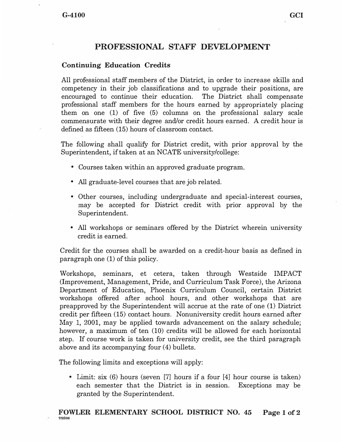# **PROFESSIONAL. STAFF DEVELOPMENT**

## **Continuing Education Credits**

All professional staff members of the District, in order to increase skills and competency in their job classifications and to upgrade their positions, are encouraged to continue their education. The District shall compensate professional staff members for the hours earned by appropriately placing them on one (1) of five (5) columns on the professional salary scale commensurate with their degree and/or credit hours earned. A credit hour is defined as fifteen (15) hours of classroom contact.

The following shall qualify for District credit, with prior approval by the Superintendent, if taken at an NCATE university/college:

- Courses taken within an approved graduate program.
- All graduate-level courses that are job related.
- Other courses, including undergraduate and special-interest courses, may be accepted for District credit with prior approval by the Superintendent.
- All workshops or seminars offered by the District wherein university credit is earned.

Credit for the courses shall be awarded on a credit-hour basis as defined in paragraph one (1) of this policy.

Workshops, seminars, et cetera, taken through Westside IMPACT (Improvement, Management, Pride, and Curriculum Task Force), the Arizona Department of Education, Phoenix Curriculum Council, certain District workshops offered after school hours, and other workshops that are preapproved by the Superintendent will accrue at the rate of one (1) District credit per fifteen (15) contact hours. Nonuniversity credit hours earned after May 1, 2001, may be applied towards advancement on the salary schedule; however, a maximum of ten (10) credits will be allowed for each horizontal step. If course work is taken for university credit, see the third paragraph above and its accompanying four  $(4)$  bullets.

The following limits and exceptions will apply:

• Limit: six (6) hours (seven [7] hours if a four [4] hour course is taken) each semester that the District is in session. Exceptions may be granted by the Superintendent.